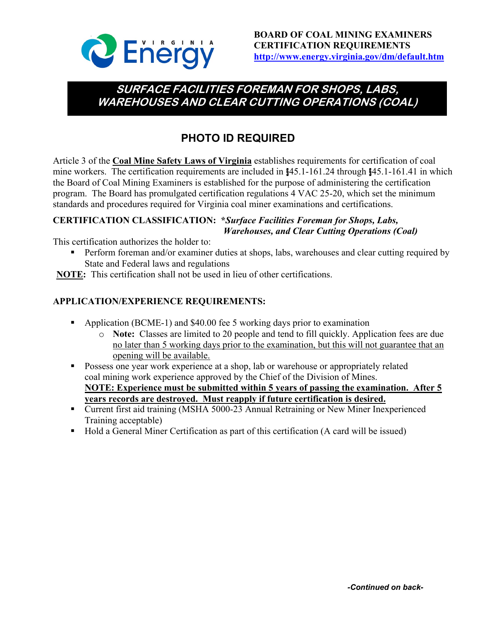

# **SURFACE FACILITIES FOREMAN FOR SHOPS, LABS, WAREHOUSES AND CLEAR CUTTING OPERATIONS (COAL)**

# **PHOTO ID REQUIRED**

Article 3 of the **Coal Mine Safety Laws of Virginia** establishes requirements for certification of coal mine workers. The certification requirements are included in §45.1-161.24 through §45.1-161.41 in which the Board of Coal Mining Examiners is established for the purpose of administering the certification program. The Board has promulgated certification regulations 4 VAC 25-20, which set the minimum standards and procedures required for Virginia coal miner examinations and certifications.

## **CERTIFICATION CLASSIFICATION: \****Surface Facilities Foreman for Shops, Labs, Warehouses, and Clear Cutting Operations (Coal)*

This certification authorizes the holder to:

- Perform foreman and/or examiner duties at shops, labs, warehouses and clear cutting required by State and Federal laws and regulations
- **NOTE:** This certification shall not be used in lieu of other certifications.

## **APPLICATION/EXPERIENCE REQUIREMENTS:**

- Application (BCME-1) and \$40.00 fee 5 working days prior to examination
	- o **Note:** Classes are limited to 20 people and tend to fill quickly. Application fees are due no later than 5 working days prior to the examination, but this will not guarantee that an opening will be available.
- **Possess one year work experience at a shop, lab or warehouse or appropriately related** coal mining work experience approved by the Chief of the Division of Mines. **NOTE: Experience must be submitted within 5 years of passing the examination. After 5 years records are destroyed. Must reapply if future certification is desired.**
- Current first aid training (MSHA 5000-23 Annual Retraining or New Miner Inexperienced Training acceptable)
- Hold a General Miner Certification as part of this certification (A card will be issued)